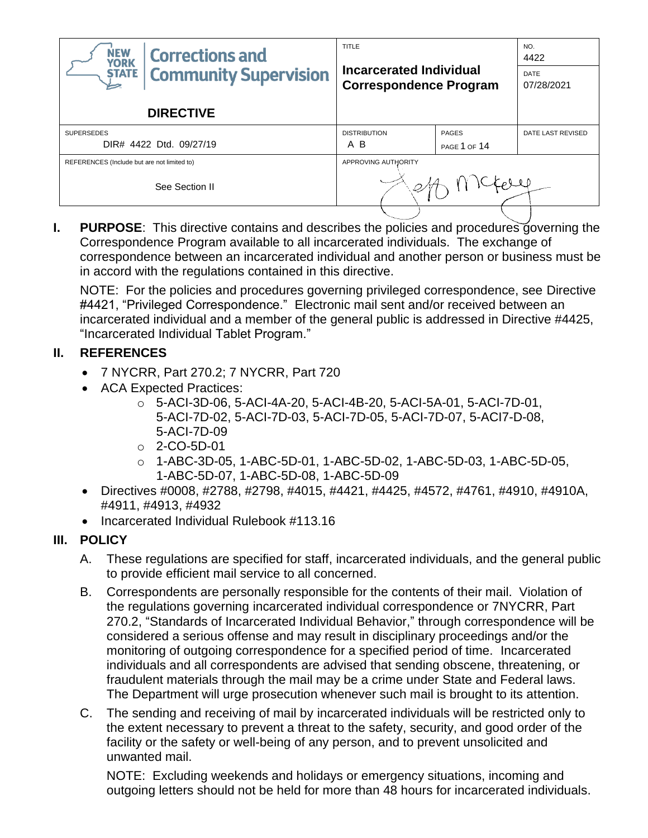| <b>NEW</b><br><b>Corrections and</b><br><b>YORK</b><br><b>Community Supervision</b><br><b>STATE</b> | <b>TITLE</b><br>Incarcerated Individual<br><b>Correspondence Program</b> |                                     | NO.<br>4422<br>DATE<br>07/28/2021 |
|-----------------------------------------------------------------------------------------------------|--------------------------------------------------------------------------|-------------------------------------|-----------------------------------|
| <b>DIRECTIVE</b>                                                                                    |                                                                          |                                     |                                   |
| <b>SUPERSEDES</b><br>DIR# 4422 Dtd. 09/27/19                                                        | <b>DISTRIBUTION</b><br>B<br>A                                            | <b>PAGES</b><br><b>PAGE 1 OF 14</b> | DATE LAST REVISED                 |
| REFERENCES (Include but are not limited to)                                                         | APPROVING AUTHORITY                                                      |                                     |                                   |
| See Section II                                                                                      |                                                                          |                                     |                                   |

**I. PURPOSE**: This directive contains and describes the policies and procedures governing the Correspondence Program available to all incarcerated individuals. The exchange of correspondence between an incarcerated individual and another person or business must be in accord with the regulations contained in this directive.

NOTE: For the policies and procedures governing privileged correspondence, see Directive #4421, "Privileged Correspondence." Electronic mail sent and/or received between an incarcerated individual and a member of the general public is addressed in Directive #4425, "Incarcerated Individual Tablet Program."

## **II. REFERENCES**

- 7 NYCRR, Part 270.2; 7 NYCRR, Part 720
- ACA Expected Practices:
	- o 5-ACI-3D-06, 5-ACI-4A-20, 5-ACI-4B-20, 5-ACI-5A-01, 5-ACI-7D-01, 5-ACI-7D-02, 5-ACI-7D-03, 5-ACI-7D-05, 5-ACI-7D-07, 5-ACI7-D-08, 5-ACI-7D-09
	- o 2-CO-5D-01
	- o 1-ABC-3D-05, 1-ABC-5D-01, 1-ABC-5D-02, 1-ABC-5D-03, 1-ABC-5D-05, 1-ABC-5D-07, 1-ABC-5D-08, 1-ABC-5D-09
- Directives #0008, #2788, #2798, #4015, #4421, #4425, #4572, #4761, #4910, #4910A, #4911, #4913, #4932
- Incarcerated Individual Rulebook #113.16

# **III. POLICY**

- A. These regulations are specified for staff, incarcerated individuals, and the general public to provide efficient mail service to all concerned.
- B. Correspondents are personally responsible for the contents of their mail. Violation of the regulations governing incarcerated individual correspondence or 7NYCRR, Part 270.2, "Standards of Incarcerated Individual Behavior," through correspondence will be considered a serious offense and may result in disciplinary proceedings and/or the monitoring of outgoing correspondence for a specified period of time. Incarcerated individuals and all correspondents are advised that sending obscene, threatening, or fraudulent materials through the mail may be a crime under State and Federal laws. The Department will urge prosecution whenever such mail is brought to its attention.
- C. The sending and receiving of mail by incarcerated individuals will be restricted only to the extent necessary to prevent a threat to the safety, security, and good order of the facility or the safety or well-being of any person, and to prevent unsolicited and unwanted mail.

NOTE: Excluding weekends and holidays or emergency situations, incoming and outgoing letters should not be held for more than 48 hours for incarcerated individuals.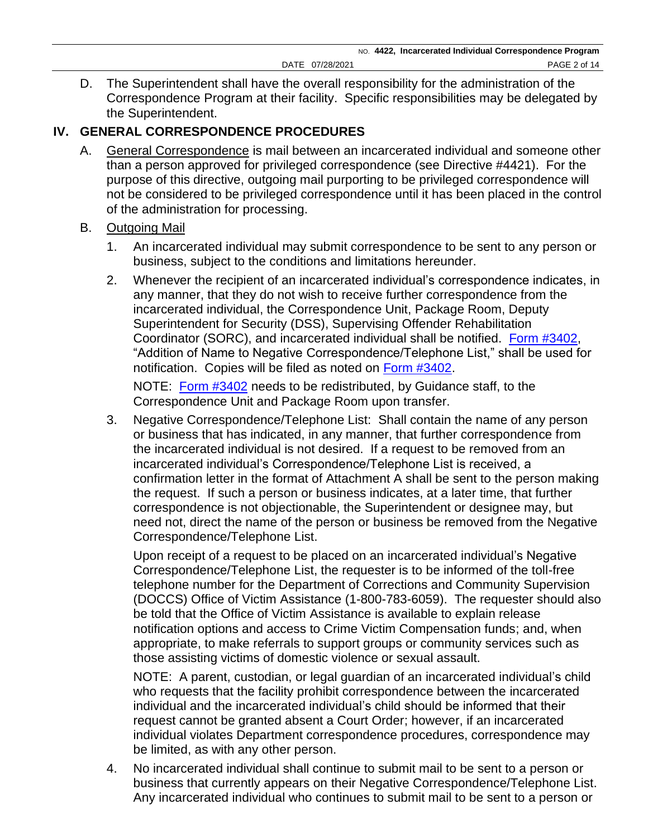D. The Superintendent shall have the overall responsibility for the administration of the Correspondence Program at their facility. Specific responsibilities may be delegated by the Superintendent.

## **IV. GENERAL CORRESPONDENCE PROCEDURES**

A. General Correspondence is mail between an incarcerated individual and someone other than a person approved for privileged correspondence (see Directive #4421). For the purpose of this directive, outgoing mail purporting to be privileged correspondence will not be considered to be privileged correspondence until it has been placed in the control of the administration for processing.

#### B. Outgoing Mail

- 1. An incarcerated individual may submit correspondence to be sent to any person or business, subject to the conditions and limitations hereunder.
- 2. Whenever the recipient of an incarcerated individual's correspondence indicates, in any manner, that they do not wish to receive further correspondence from the incarcerated individual, the Correspondence Unit, Package Room, Deputy Superintendent for Security (DSS), Supervising Offender Rehabilitation Coordinator (SORC), and incarcerated individual shall be notified. [Form #3402,](https://doccs.ny.gov/directives/Frm3402.pdf) "Addition of Name to Negative Correspondence/Telephone List," shall be used for notification. Copies will be filed as noted on [Form #3402.](https://doccs.ny.gov/directives/Frm3402.pdf)

NOTE: [Form #3402](https://doccs.ny.gov/directives/Frm3402.pdf) needs to be redistributed, by Guidance staff, to the Correspondence Unit and Package Room upon transfer.

3. Negative Correspondence/Telephone List: Shall contain the name of any person or business that has indicated, in any manner, that further correspondence from the incarcerated individual is not desired. If a request to be removed from an incarcerated individual's Correspondence/Telephone List is received, a confirmation letter in the format of Attachment A shall be sent to the person making the request. If such a person or business indicates, at a later time, that further correspondence is not objectionable, the Superintendent or designee may, but need not, direct the name of the person or business be removed from the Negative Correspondence/Telephone List.

Upon receipt of a request to be placed on an incarcerated individual's Negative Correspondence/Telephone List, the requester is to be informed of the toll-free telephone number for the Department of Corrections and Community Supervision (DOCCS) Office of Victim Assistance (1-800-783-6059). The requester should also be told that the Office of Victim Assistance is available to explain release notification options and access to Crime Victim Compensation funds; and, when appropriate, to make referrals to support groups or community services such as those assisting victims of domestic violence or sexual assault.

NOTE: A parent, custodian, or legal guardian of an incarcerated individual's child who requests that the facility prohibit correspondence between the incarcerated individual and the incarcerated individual's child should be informed that their request cannot be granted absent a Court Order; however, if an incarcerated individual violates Department correspondence procedures, correspondence may be limited, as with any other person.

4. No incarcerated individual shall continue to submit mail to be sent to a person or business that currently appears on their Negative Correspondence/Telephone List. Any incarcerated individual who continues to submit mail to be sent to a person or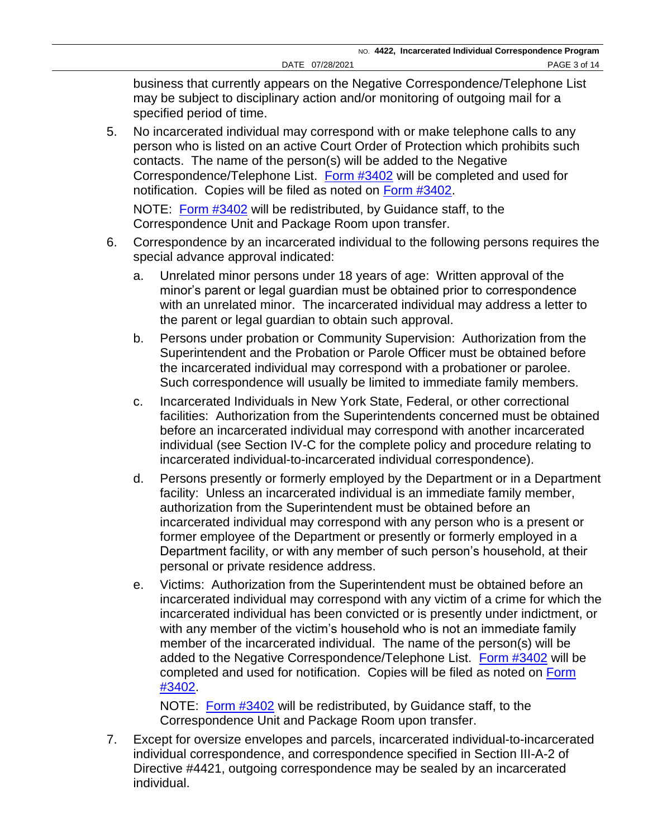business that currently appears on the Negative Correspondence/Telephone List may be subject to disciplinary action and/or monitoring of outgoing mail for a specified period of time.

5. No incarcerated individual may correspond with or make telephone calls to any person who is listed on an active Court Order of Protection which prohibits such contacts. The name of the person(s) will be added to the Negative Correspondence/Telephone List. [Form #3402](https://doccs.ny.gov/directives/Frm3402.pdf) will be completed and used for notification. Copies will be filed as noted on [Form #3402.](https://doccs.ny.gov/directives/Frm3402.pdf)

NOTE: [Form #3402](https://doccs.ny.gov/directives/Frm3402.pdf) will be redistributed, by Guidance staff, to the Correspondence Unit and Package Room upon transfer.

- 6. Correspondence by an incarcerated individual to the following persons requires the special advance approval indicated:
	- a. Unrelated minor persons under 18 years of age: Written approval of the minor's parent or legal guardian must be obtained prior to correspondence with an unrelated minor. The incarcerated individual may address a letter to the parent or legal guardian to obtain such approval.
	- b. Persons under probation or Community Supervision: Authorization from the Superintendent and the Probation or Parole Officer must be obtained before the incarcerated individual may correspond with a probationer or parolee. Such correspondence will usually be limited to immediate family members.
	- c. Incarcerated Individuals in New York State, Federal, or other correctional facilities: Authorization from the Superintendents concerned must be obtained before an incarcerated individual may correspond with another incarcerated individual (see Section IV-C for the complete policy and procedure relating to incarcerated individual-to-incarcerated individual correspondence).
	- d. Persons presently or formerly employed by the Department or in a Department facility: Unless an incarcerated individual is an immediate family member, authorization from the Superintendent must be obtained before an incarcerated individual may correspond with any person who is a present or former employee of the Department or presently or formerly employed in a Department facility, or with any member of such person's household, at their personal or private residence address.
	- e. Victims: Authorization from the Superintendent must be obtained before an incarcerated individual may correspond with any victim of a crime for which the incarcerated individual has been convicted or is presently under indictment, or with any member of the victim's household who is not an immediate family member of the incarcerated individual. The name of the person(s) will be added to the Negative Correspondence/Telephone List. [Form #3402](https://doccs.ny.gov/directives/Frm3402.pdf) will be completed and used for notification. Copies will be filed as noted on Form [#3402.](https://doccs.ny.gov/directives/Frm3402.pdf)

NOTE: [Form #3402](https://doccs.ny.gov/directives/Frm3402.pdf) will be redistributed, by Guidance staff, to the Correspondence Unit and Package Room upon transfer.

7. Except for oversize envelopes and parcels, incarcerated individual-to-incarcerated individual correspondence, and correspondence specified in Section III-A-2 of Directive #4421, outgoing correspondence may be sealed by an incarcerated individual.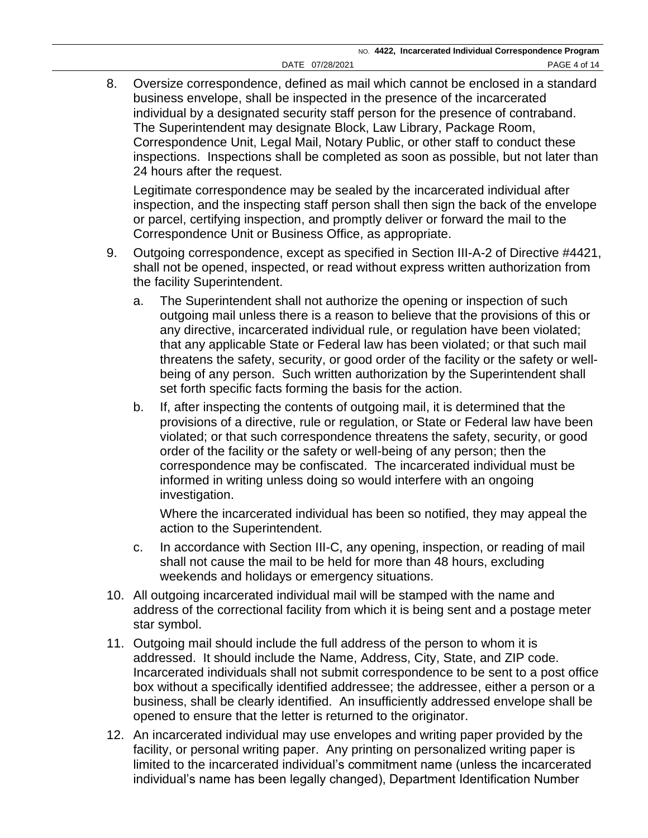8. Oversize correspondence, defined as mail which cannot be enclosed in a standard business envelope, shall be inspected in the presence of the incarcerated individual by a designated security staff person for the presence of contraband. The Superintendent may designate Block, Law Library, Package Room, Correspondence Unit, Legal Mail, Notary Public, or other staff to conduct these inspections. Inspections shall be completed as soon as possible, but not later than 24 hours after the request.

Legitimate correspondence may be sealed by the incarcerated individual after inspection, and the inspecting staff person shall then sign the back of the envelope or parcel, certifying inspection, and promptly deliver or forward the mail to the Correspondence Unit or Business Office, as appropriate.

- 9. Outgoing correspondence, except as specified in Section III-A-2 of Directive #4421, shall not be opened, inspected, or read without express written authorization from the facility Superintendent.
	- a. The Superintendent shall not authorize the opening or inspection of such outgoing mail unless there is a reason to believe that the provisions of this or any directive, incarcerated individual rule, or regulation have been violated; that any applicable State or Federal law has been violated; or that such mail threatens the safety, security, or good order of the facility or the safety or wellbeing of any person. Such written authorization by the Superintendent shall set forth specific facts forming the basis for the action.
	- b. If, after inspecting the contents of outgoing mail, it is determined that the provisions of a directive, rule or regulation, or State or Federal law have been violated; or that such correspondence threatens the safety, security, or good order of the facility or the safety or well-being of any person; then the correspondence may be confiscated. The incarcerated individual must be informed in writing unless doing so would interfere with an ongoing investigation.

Where the incarcerated individual has been so notified, they may appeal the action to the Superintendent.

- c. In accordance with Section III-C, any opening, inspection, or reading of mail shall not cause the mail to be held for more than 48 hours, excluding weekends and holidays or emergency situations.
- 10. All outgoing incarcerated individual mail will be stamped with the name and address of the correctional facility from which it is being sent and a postage meter star symbol.
- 11. Outgoing mail should include the full address of the person to whom it is addressed. It should include the Name, Address, City, State, and ZIP code. Incarcerated individuals shall not submit correspondence to be sent to a post office box without a specifically identified addressee; the addressee, either a person or a business, shall be clearly identified. An insufficiently addressed envelope shall be opened to ensure that the letter is returned to the originator.
- 12. An incarcerated individual may use envelopes and writing paper provided by the facility, or personal writing paper. Any printing on personalized writing paper is limited to the incarcerated individual's commitment name (unless the incarcerated individual's name has been legally changed), Department Identification Number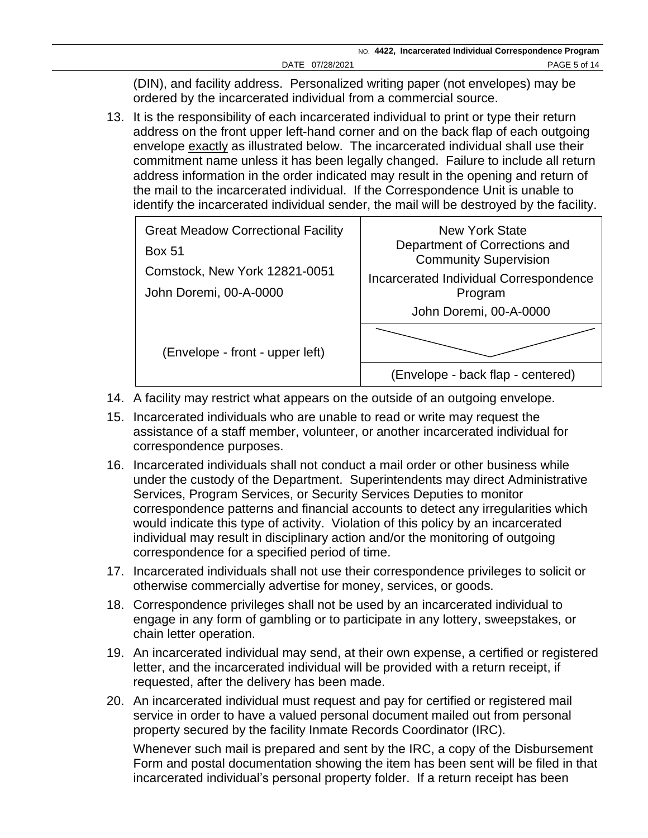(DIN), and facility address. Personalized writing paper (not envelopes) may be ordered by the incarcerated individual from a commercial source.

13. It is the responsibility of each incarcerated individual to print or type their return address on the front upper left-hand corner and on the back flap of each outgoing envelope exactly as illustrated below. The incarcerated individual shall use their commitment name unless it has been legally changed. Failure to include all return address information in the order indicated may result in the opening and return of the mail to the incarcerated individual. If the Correspondence Unit is unable to identify the incarcerated individual sender, the mail will be destroyed by the facility.



- 14. A facility may restrict what appears on the outside of an outgoing envelope.
- 15. Incarcerated individuals who are unable to read or write may request the assistance of a staff member, volunteer, or another incarcerated individual for correspondence purposes.
- 16. Incarcerated individuals shall not conduct a mail order or other business while under the custody of the Department. Superintendents may direct Administrative Services, Program Services, or Security Services Deputies to monitor correspondence patterns and financial accounts to detect any irregularities which would indicate this type of activity. Violation of this policy by an incarcerated individual may result in disciplinary action and/or the monitoring of outgoing correspondence for a specified period of time.
- 17. Incarcerated individuals shall not use their correspondence privileges to solicit or otherwise commercially advertise for money, services, or goods.
- 18. Correspondence privileges shall not be used by an incarcerated individual to engage in any form of gambling or to participate in any lottery, sweepstakes, or chain letter operation.
- 19. An incarcerated individual may send, at their own expense, a certified or registered letter, and the incarcerated individual will be provided with a return receipt, if requested, after the delivery has been made.
- 20. An incarcerated individual must request and pay for certified or registered mail service in order to have a valued personal document mailed out from personal property secured by the facility Inmate Records Coordinator (IRC). Whenever such mail is prepared and sent by the IRC, a copy of the Disbursement Form and postal documentation showing the item has been sent will be filed in that

incarcerated individual's personal property folder. If a return receipt has been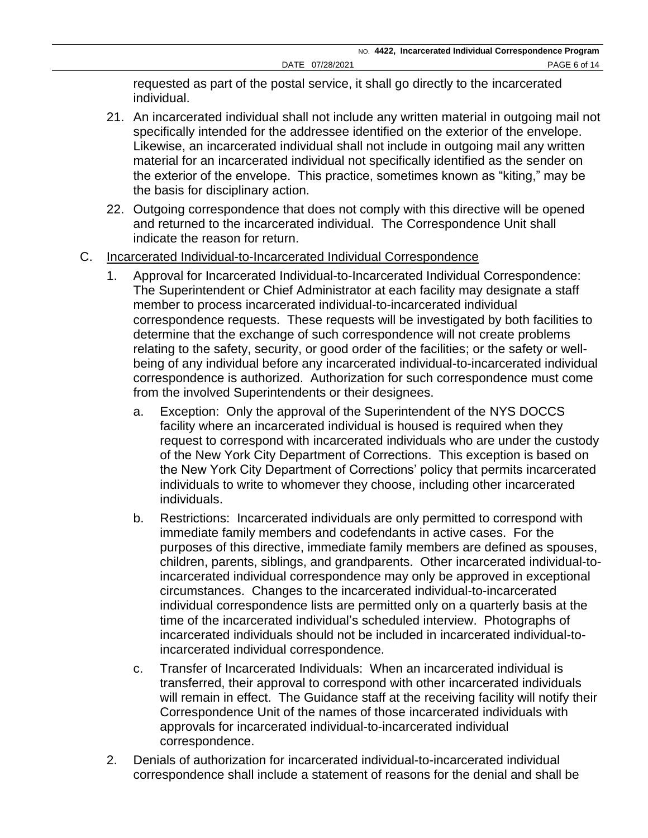requested as part of the postal service, it shall go directly to the incarcerated individual.

- 21. An incarcerated individual shall not include any written material in outgoing mail not specifically intended for the addressee identified on the exterior of the envelope. Likewise, an incarcerated individual shall not include in outgoing mail any written material for an incarcerated individual not specifically identified as the sender on the exterior of the envelope. This practice, sometimes known as "kiting," may be the basis for disciplinary action.
- 22. Outgoing correspondence that does not comply with this directive will be opened and returned to the incarcerated individual. The Correspondence Unit shall indicate the reason for return.
- C. Incarcerated Individual-to-Incarcerated Individual Correspondence
	- 1. Approval for Incarcerated Individual-to-Incarcerated Individual Correspondence: The Superintendent or Chief Administrator at each facility may designate a staff member to process incarcerated individual-to-incarcerated individual correspondence requests. These requests will be investigated by both facilities to determine that the exchange of such correspondence will not create problems relating to the safety, security, or good order of the facilities; or the safety or wellbeing of any individual before any incarcerated individual-to-incarcerated individual correspondence is authorized. Authorization for such correspondence must come from the involved Superintendents or their designees.
		- a. Exception: Only the approval of the Superintendent of the NYS DOCCS facility where an incarcerated individual is housed is required when they request to correspond with incarcerated individuals who are under the custody of the New York City Department of Corrections. This exception is based on the New York City Department of Corrections' policy that permits incarcerated individuals to write to whomever they choose, including other incarcerated individuals.
		- b. Restrictions: Incarcerated individuals are only permitted to correspond with immediate family members and codefendants in active cases. For the purposes of this directive, immediate family members are defined as spouses, children, parents, siblings, and grandparents. Other incarcerated individual-toincarcerated individual correspondence may only be approved in exceptional circumstances.Changes to the incarcerated individual-to-incarcerated individual correspondence lists are permitted only on a quarterly basis at the time of the incarcerated individual's scheduled interview. Photographs of incarcerated individuals should not be included in incarcerated individual-toincarcerated individual correspondence.
		- c. Transfer of Incarcerated Individuals: When an incarcerated individual is transferred, their approval to correspond with other incarcerated individuals will remain in effect. The Guidance staff at the receiving facility will notify their Correspondence Unit of the names of those incarcerated individuals with approvals for incarcerated individual-to-incarcerated individual correspondence.
	- 2. Denials of authorization for incarcerated individual-to-incarcerated individual correspondence shall include a statement of reasons for the denial and shall be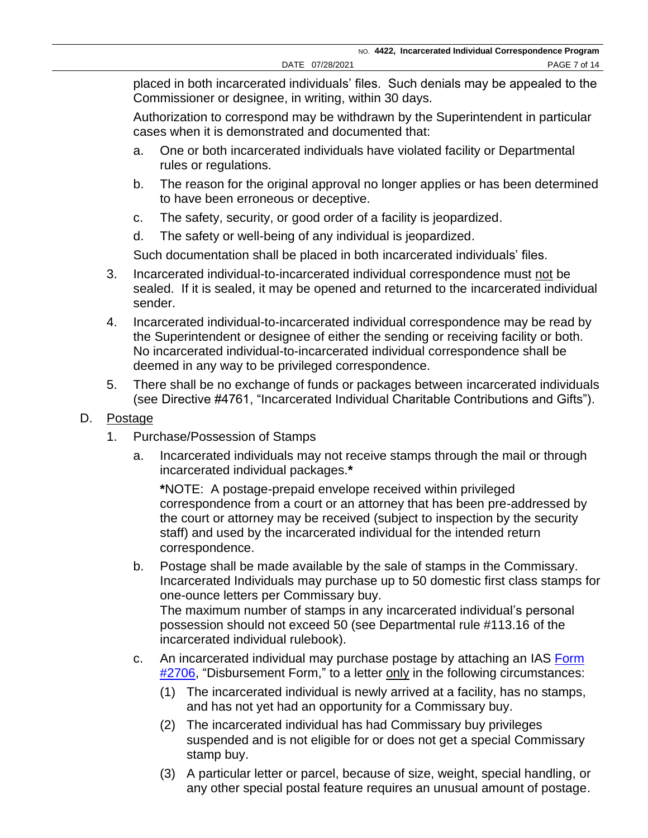placed in both incarcerated individuals' files. Such denials may be appealed to the Commissioner or designee, in writing, within 30 days.

Authorization to correspond may be withdrawn by the Superintendent in particular cases when it is demonstrated and documented that:

- a. One or both incarcerated individuals have violated facility or Departmental rules or regulations.
- b. The reason for the original approval no longer applies or has been determined to have been erroneous or deceptive.
- c. The safety, security, or good order of a facility is jeopardized.
- d. The safety or well-being of any individual is jeopardized.

Such documentation shall be placed in both incarcerated individuals' files.

- 3. Incarcerated individual-to-incarcerated individual correspondence must not be sealed. If it is sealed, it may be opened and returned to the incarcerated individual sender.
- 4. Incarcerated individual-to-incarcerated individual correspondence may be read by the Superintendent or designee of either the sending or receiving facility or both. No incarcerated individual-to-incarcerated individual correspondence shall be deemed in any way to be privileged correspondence.
- 5. There shall be no exchange of funds or packages between incarcerated individuals (see Directive #4761, "Incarcerated Individual Charitable Contributions and Gifts").

## D. Postage

- 1. Purchase/Possession of Stamps
	- a. Incarcerated individuals may not receive stamps through the mail or through incarcerated individual packages.**\***

**\***NOTE: A postage-prepaid envelope received within privileged correspondence from a court or an attorney that has been pre-addressed by the court or attorney may be received (subject to inspection by the security staff) and used by the incarcerated individual for the intended return correspondence.

- b. Postage shall be made available by the sale of stamps in the Commissary. Incarcerated Individuals may purchase up to 50 domestic first class stamps for one-ounce letters per Commissary buy. The maximum number of stamps in any incarcerated individual's personal possession should not exceed 50 (see Departmental rule #113.16 of the incarcerated individual rulebook).
- c. An incarcerated individual may purchase postage by attaching an IAS [Form](https://doccs.ny.gov/directives/Frm2706.pdf)  [#2706,](https://doccs.ny.gov/directives/Frm2706.pdf) "Disbursement Form," to a letter only in the following circumstances:
	- (1) The incarcerated individual is newly arrived at a facility, has no stamps, and has not yet had an opportunity for a Commissary buy.
	- (2) The incarcerated individual has had Commissary buy privileges suspended and is not eligible for or does not get a special Commissary stamp buy.
	- (3) A particular letter or parcel, because of size, weight, special handling, or any other special postal feature requires an unusual amount of postage.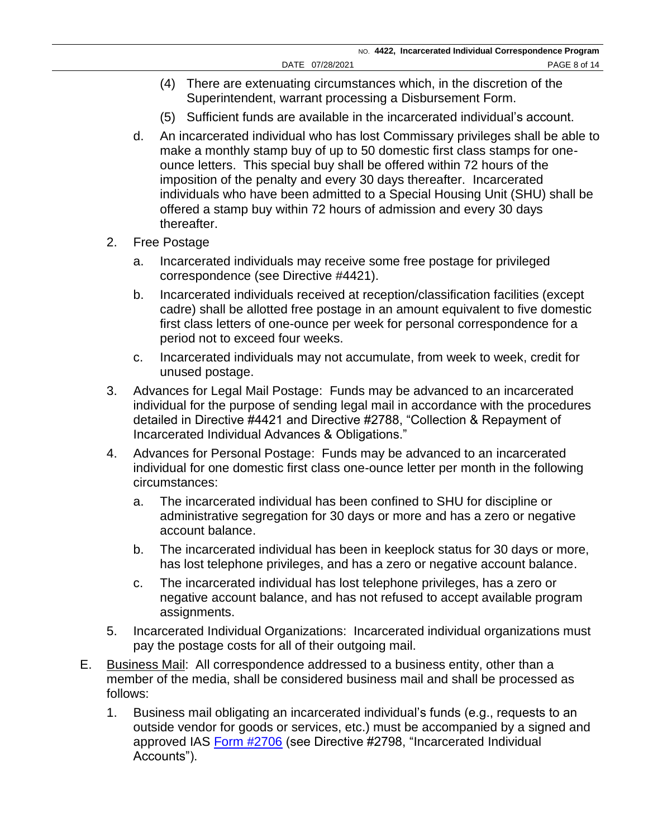- (4) There are extenuating circumstances which, in the discretion of the Superintendent, warrant processing a Disbursement Form.
- (5) Sufficient funds are available in the incarcerated individual's account.
- d. An incarcerated individual who has lost Commissary privileges shall be able to make a monthly stamp buy of up to 50 domestic first class stamps for oneounce letters. This special buy shall be offered within 72 hours of the imposition of the penalty and every 30 days thereafter. Incarcerated individuals who have been admitted to a Special Housing Unit (SHU) shall be offered a stamp buy within 72 hours of admission and every 30 days thereafter.
- 2. Free Postage
	- a. Incarcerated individuals may receive some free postage for privileged correspondence (see Directive #4421).
	- b. Incarcerated individuals received at reception/classification facilities (except cadre) shall be allotted free postage in an amount equivalent to five domestic first class letters of one-ounce per week for personal correspondence for a period not to exceed four weeks.
	- c. Incarcerated individuals may not accumulate, from week to week, credit for unused postage.
- 3. Advances for Legal Mail Postage: Funds may be advanced to an incarcerated individual for the purpose of sending legal mail in accordance with the procedures detailed in Directive #4421 and Directive #2788, "Collection & Repayment of Incarcerated Individual Advances & Obligations."
- 4. Advances for Personal Postage: Funds may be advanced to an incarcerated individual for one domestic first class one-ounce letter per month in the following circumstances:
	- a. The incarcerated individual has been confined to SHU for discipline or administrative segregation for 30 days or more and has a zero or negative account balance.
	- b. The incarcerated individual has been in keeplock status for 30 days or more, has lost telephone privileges, and has a zero or negative account balance.
	- c. The incarcerated individual has lost telephone privileges, has a zero or negative account balance, and has not refused to accept available program assignments.
- 5. Incarcerated Individual Organizations: Incarcerated individual organizations must pay the postage costs for all of their outgoing mail.
- E. Business Mail: All correspondence addressed to a business entity, other than a member of the media, shall be considered business mail and shall be processed as follows:
	- 1. Business mail obligating an incarcerated individual's funds (e.g., requests to an outside vendor for goods or services, etc.) must be accompanied by a signed and approved IAS [Form #2706](https://doccs.ny.gov/directives/Frm2706.pdf) (see Directive #2798, "Incarcerated Individual Accounts").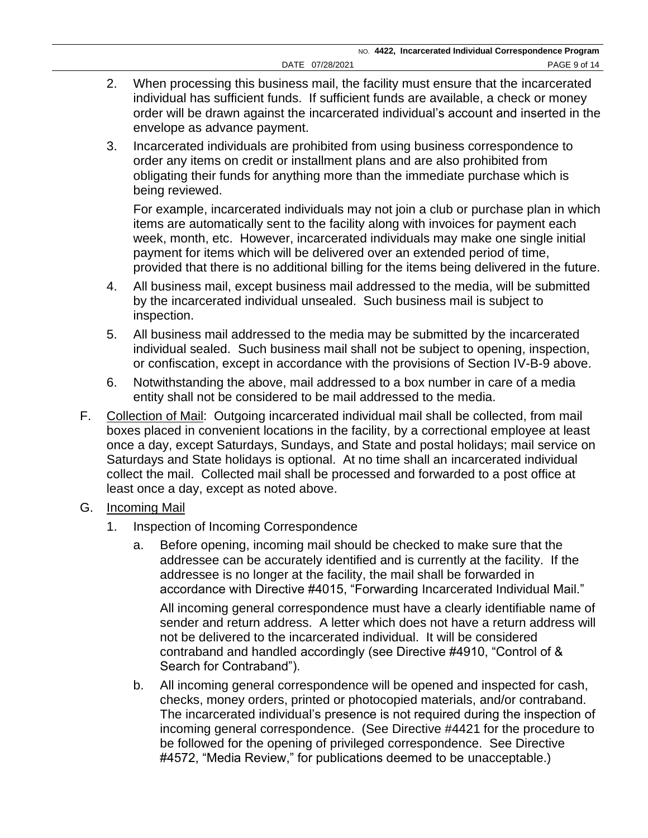- 2. When processing this business mail, the facility must ensure that the incarcerated individual has sufficient funds. If sufficient funds are available, a check or money order will be drawn against the incarcerated individual's account and inserted in the envelope as advance payment.
- 3. Incarcerated individuals are prohibited from using business correspondence to order any items on credit or installment plans and are also prohibited from obligating their funds for anything more than the immediate purchase which is being reviewed.

For example, incarcerated individuals may not join a club or purchase plan in which items are automatically sent to the facility along with invoices for payment each week, month, etc. However, incarcerated individuals may make one single initial payment for items which will be delivered over an extended period of time, provided that there is no additional billing for the items being delivered in the future.

- 4. All business mail, except business mail addressed to the media, will be submitted by the incarcerated individual unsealed. Such business mail is subject to inspection.
- 5. All business mail addressed to the media may be submitted by the incarcerated individual sealed. Such business mail shall not be subject to opening, inspection, or confiscation, except in accordance with the provisions of Section IV-B-9 above.
- 6. Notwithstanding the above, mail addressed to a box number in care of a media entity shall not be considered to be mail addressed to the media.
- F. Collection of Mail: Outgoing incarcerated individual mail shall be collected, from mail boxes placed in convenient locations in the facility, by a correctional employee at least once a day, except Saturdays, Sundays, and State and postal holidays; mail service on Saturdays and State holidays is optional. At no time shall an incarcerated individual collect the mail. Collected mail shall be processed and forwarded to a post office at least once a day, except as noted above.
- G. Incoming Mail
	- 1. Inspection of Incoming Correspondence
		- a. Before opening, incoming mail should be checked to make sure that the addressee can be accurately identified and is currently at the facility. If the addressee is no longer at the facility, the mail shall be forwarded in accordance with Directive #4015, "Forwarding Incarcerated Individual Mail."

All incoming general correspondence must have a clearly identifiable name of sender and return address. A letter which does not have a return address will not be delivered to the incarcerated individual. It will be considered contraband and handled accordingly (see Directive #4910, "Control of & Search for Contraband").

b. All incoming general correspondence will be opened and inspected for cash, checks, money orders, printed or photocopied materials, and/or contraband. The incarcerated individual's presence is not required during the inspection of incoming general correspondence. (See Directive #4421 for the procedure to be followed for the opening of privileged correspondence. See Directive #4572, "Media Review," for publications deemed to be unacceptable.)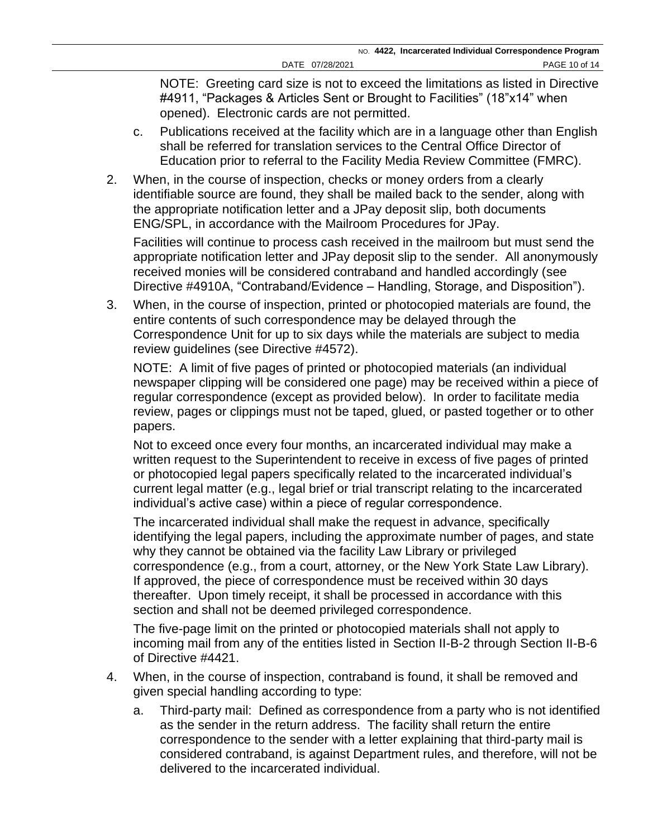NOTE: Greeting card size is not to exceed the limitations as listed in Directive #4911, "Packages & Articles Sent or Brought to Facilities" (18"x14" when opened). Electronic cards are not permitted.

- c. Publications received at the facility which are in a language other than English shall be referred for translation services to the Central Office Director of Education prior to referral to the Facility Media Review Committee (FMRC).
- 2. When, in the course of inspection, checks or money orders from a clearly identifiable source are found, they shall be mailed back to the sender, along with the appropriate notification letter and a JPay deposit slip, both documents ENG/SPL, in accordance with the Mailroom Procedures for JPay.

Facilities will continue to process cash received in the mailroom but must send the appropriate notification letter and JPay deposit slip to the sender. All anonymously received monies will be considered contraband and handled accordingly (see Directive #4910A, "Contraband/Evidence – Handling, Storage, and Disposition").

3. When, in the course of inspection, printed or photocopied materials are found, the entire contents of such correspondence may be delayed through the Correspondence Unit for up to six days while the materials are subject to media review guidelines (see Directive #4572).

NOTE: A limit of five pages of printed or photocopied materials (an individual newspaper clipping will be considered one page) may be received within a piece of regular correspondence (except as provided below). In order to facilitate media review, pages or clippings must not be taped, glued, or pasted together or to other papers.

Not to exceed once every four months, an incarcerated individual may make a written request to the Superintendent to receive in excess of five pages of printed or photocopied legal papers specifically related to the incarcerated individual's current legal matter (e.g., legal brief or trial transcript relating to the incarcerated individual's active case) within a piece of regular correspondence.

The incarcerated individual shall make the request in advance, specifically identifying the legal papers, including the approximate number of pages, and state why they cannot be obtained via the facility Law Library or privileged correspondence (e.g., from a court, attorney, or the New York State Law Library). If approved, the piece of correspondence must be received within 30 days thereafter. Upon timely receipt, it shall be processed in accordance with this section and shall not be deemed privileged correspondence.

The five-page limit on the printed or photocopied materials shall not apply to incoming mail from any of the entities listed in Section II-B-2 through Section II-B-6 of Directive #4421.

- 4. When, in the course of inspection, contraband is found, it shall be removed and given special handling according to type:
	- a. Third-party mail: Defined as correspondence from a party who is not identified as the sender in the return address. The facility shall return the entire correspondence to the sender with a letter explaining that third-party mail is considered contraband, is against Department rules, and therefore, will not be delivered to the incarcerated individual.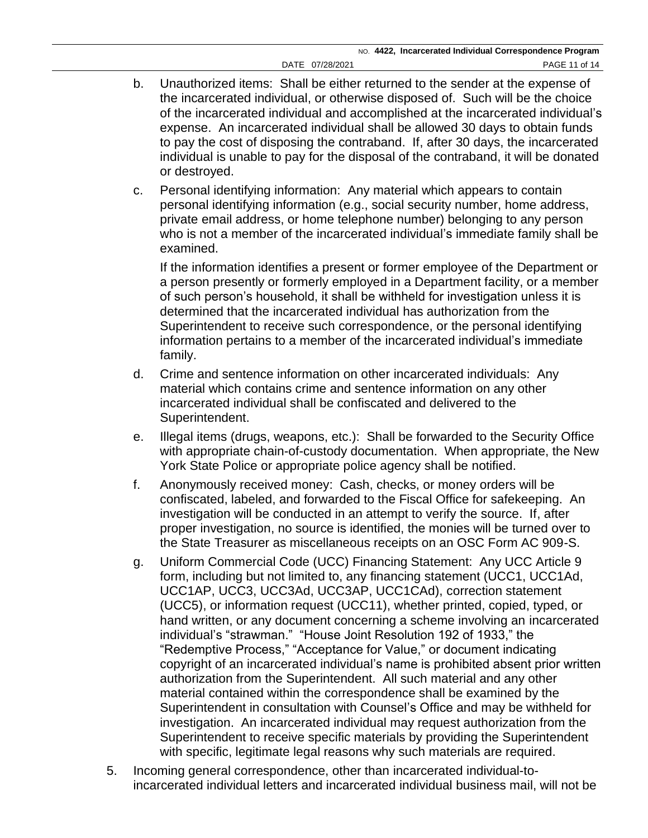- b. Unauthorized items: Shall be either returned to the sender at the expense of the incarcerated individual, or otherwise disposed of. Such will be the choice of the incarcerated individual and accomplished at the incarcerated individual's expense. An incarcerated individual shall be allowed 30 days to obtain funds to pay the cost of disposing the contraband. If, after 30 days, the incarcerated individual is unable to pay for the disposal of the contraband, it will be donated or destroyed.
- c. Personal identifying information: Any material which appears to contain personal identifying information (e.g., social security number, home address, private email address, or home telephone number) belonging to any person who is not a member of the incarcerated individual's immediate family shall be examined.

If the information identifies a present or former employee of the Department or a person presently or formerly employed in a Department facility, or a member of such person's household, it shall be withheld for investigation unless it is determined that the incarcerated individual has authorization from the Superintendent to receive such correspondence, or the personal identifying information pertains to a member of the incarcerated individual's immediate family.

- d. Crime and sentence information on other incarcerated individuals: Any material which contains crime and sentence information on any other incarcerated individual shall be confiscated and delivered to the Superintendent.
- e. Illegal items (drugs, weapons, etc.): Shall be forwarded to the Security Office with appropriate chain-of-custody documentation. When appropriate, the New York State Police or appropriate police agency shall be notified.
- f. Anonymously received money: Cash, checks, or money orders will be confiscated, labeled, and forwarded to the Fiscal Office for safekeeping. An investigation will be conducted in an attempt to verify the source. If, after proper investigation, no source is identified, the monies will be turned over to the State Treasurer as miscellaneous receipts on an OSC Form AC 909-S.
- g. Uniform Commercial Code (UCC) Financing Statement: Any UCC Article 9 form, including but not limited to, any financing statement (UCC1, UCC1Ad, UCC1AP, UCC3, UCC3Ad, UCC3AP, UCC1CAd), correction statement (UCC5), or information request (UCC11), whether printed, copied, typed, or hand written, or any document concerning a scheme involving an incarcerated individual's "strawman." "House Joint Resolution 192 of 1933," the "Redemptive Process," "Acceptance for Value," or document indicating copyright of an incarcerated individual's name is prohibited absent prior written authorization from the Superintendent. All such material and any other material contained within the correspondence shall be examined by the Superintendent in consultation with Counsel's Office and may be withheld for investigation. An incarcerated individual may request authorization from the Superintendent to receive specific materials by providing the Superintendent with specific, legitimate legal reasons why such materials are required.
- 5. Incoming general correspondence, other than incarcerated individual-toincarcerated individual letters and incarcerated individual business mail, will not be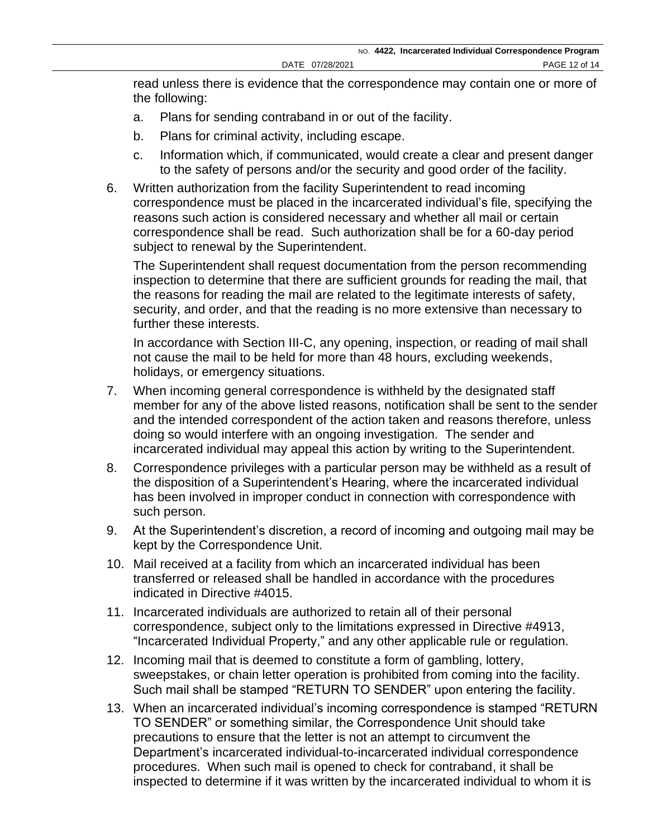read unless there is evidence that the correspondence may contain one or more of the following:

- a. Plans for sending contraband in or out of the facility.
- b. Plans for criminal activity, including escape.
- c. Information which, if communicated, would create a clear and present danger to the safety of persons and/or the security and good order of the facility.
- 6. Written authorization from the facility Superintendent to read incoming correspondence must be placed in the incarcerated individual's file, specifying the reasons such action is considered necessary and whether all mail or certain correspondence shall be read. Such authorization shall be for a 60-day period subject to renewal by the Superintendent.

The Superintendent shall request documentation from the person recommending inspection to determine that there are sufficient grounds for reading the mail, that the reasons for reading the mail are related to the legitimate interests of safety, security, and order, and that the reading is no more extensive than necessary to further these interests.

In accordance with Section III-C, any opening, inspection, or reading of mail shall not cause the mail to be held for more than 48 hours, excluding weekends, holidays, or emergency situations.

- 7. When incoming general correspondence is withheld by the designated staff member for any of the above listed reasons, notification shall be sent to the sender and the intended correspondent of the action taken and reasons therefore, unless doing so would interfere with an ongoing investigation. The sender and incarcerated individual may appeal this action by writing to the Superintendent.
- 8. Correspondence privileges with a particular person may be withheld as a result of the disposition of a Superintendent's Hearing, where the incarcerated individual has been involved in improper conduct in connection with correspondence with such person.
- 9. At the Superintendent's discretion, a record of incoming and outgoing mail may be kept by the Correspondence Unit.
- 10. Mail received at a facility from which an incarcerated individual has been transferred or released shall be handled in accordance with the procedures indicated in Directive #4015.
- 11. Incarcerated individuals are authorized to retain all of their personal correspondence, subject only to the limitations expressed in Directive #4913, "Incarcerated Individual Property," and any other applicable rule or regulation.
- 12. Incoming mail that is deemed to constitute a form of gambling, lottery, sweepstakes, or chain letter operation is prohibited from coming into the facility. Such mail shall be stamped "RETURN TO SENDER" upon entering the facility.
- 13. When an incarcerated individual's incoming correspondence is stamped "RETURN TO SENDER" or something similar, the Correspondence Unit should take precautions to ensure that the letter is not an attempt to circumvent the Department's incarcerated individual-to-incarcerated individual correspondence procedures. When such mail is opened to check for contraband, it shall be inspected to determine if it was written by the incarcerated individual to whom it is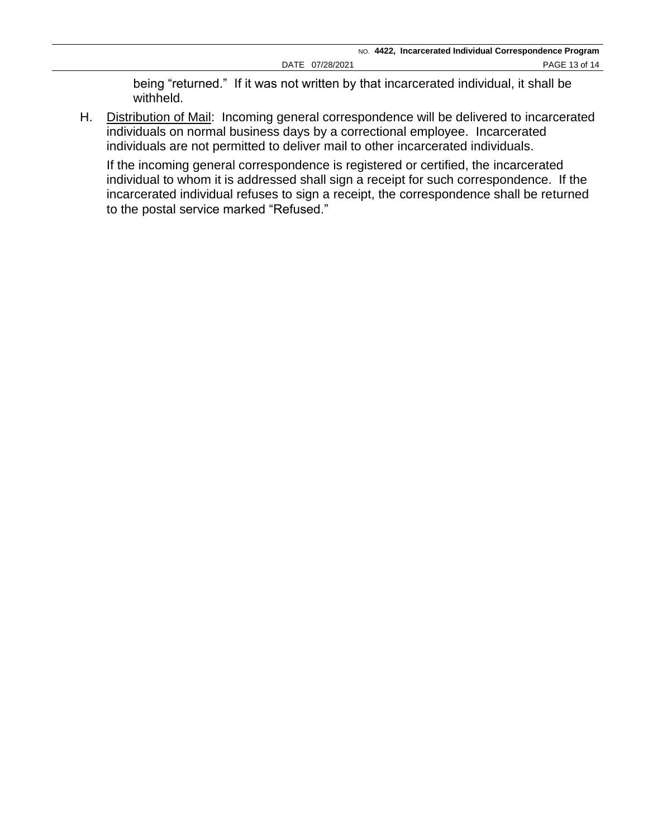being "returned." If it was not written by that incarcerated individual, it shall be withheld.

H. Distribution of Mail: Incoming general correspondence will be delivered to incarcerated individuals on normal business days by a correctional employee. Incarcerated individuals are not permitted to deliver mail to other incarcerated individuals.

If the incoming general correspondence is registered or certified, the incarcerated individual to whom it is addressed shall sign a receipt for such correspondence. If the incarcerated individual refuses to sign a receipt, the correspondence shall be returned to the postal service marked "Refused."